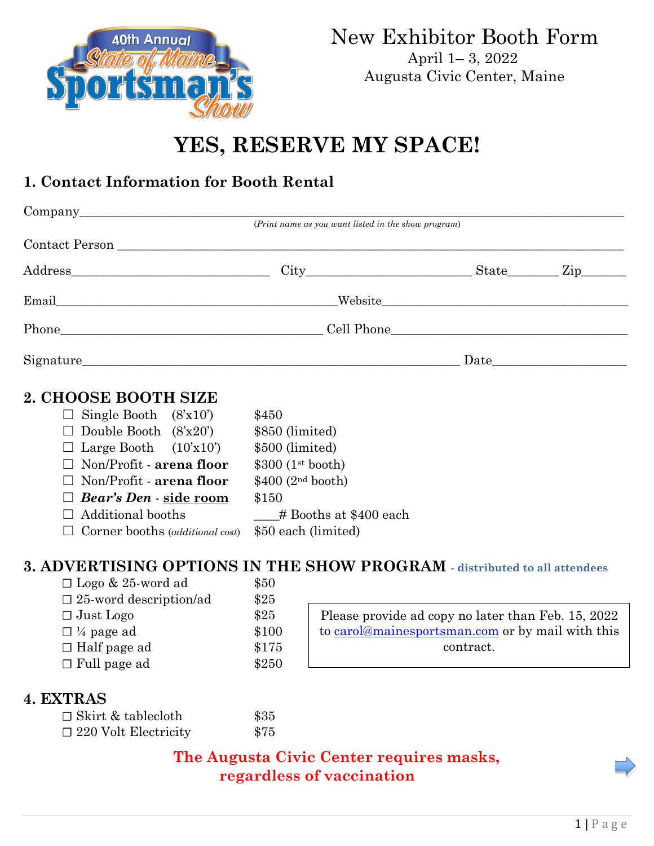

Augusta Civic Center, Maine

# **YES, RESERVE MY SPACE!**

# **1. Contact Information for Booth Rental**

|                                      | (Print name as you want listed in the show program) |  |  |  |
|--------------------------------------|-----------------------------------------------------|--|--|--|
|                                      |                                                     |  |  |  |
| Address Ein City City State Zip      |                                                     |  |  |  |
|                                      |                                                     |  |  |  |
|                                      |                                                     |  |  |  |
|                                      |                                                     |  |  |  |
| 2. CHOOSE BOOTH SIZE                 |                                                     |  |  |  |
| $\Box$ Single Booth $(8x10^{\circ})$ | \$450                                               |  |  |  |
| $\Box$ Double Booth $(8x20)$         | \$850 (limited)                                     |  |  |  |
| Large Booth $(10x10)$                | \$500 (limited)                                     |  |  |  |
| Non/Profit - arena floor             | $$300$ (1 <sup>st</sup> booth)                      |  |  |  |
| $\Box$ Non/Profit - arena floor      | $$400$ (2 <sup>nd</sup> booth)                      |  |  |  |

☐ *Bear's Den* - **side room** \$150  $\Box$  Additional booths  $\Box$  # Booths at \$400 each

☐ Corner booths (*additional cost*) \$50 each (limited)

# **3. ADVERTISING OPTIONS IN THE SHOW PROGRAM - distributed to all attendees**

| $\Box$ Logo & 25-word ad         | \$50  |                                                    |
|----------------------------------|-------|----------------------------------------------------|
| $\square$ 25-word description/ad | \$25  |                                                    |
| $\Box$ Just Logo                 | \$25  | Please provide ad copy no later than Feb. 15, 2022 |
| $\Box$ ¼ page ad                 | \$100 | to carol@mainesportsman.com or by mail with this   |
| $\Box$ Half page ad              | \$175 | contract.                                          |
| $\Box$ Full page ad              | \$250 |                                                    |

#### **4. EXTRAS**

| □ Skirt & tablecloth        | \$35 |
|-----------------------------|------|
| $\Box$ 220 Volt Electricity | \$75 |

**The Augusta Civic Center requires masks, regardless of vaccination**